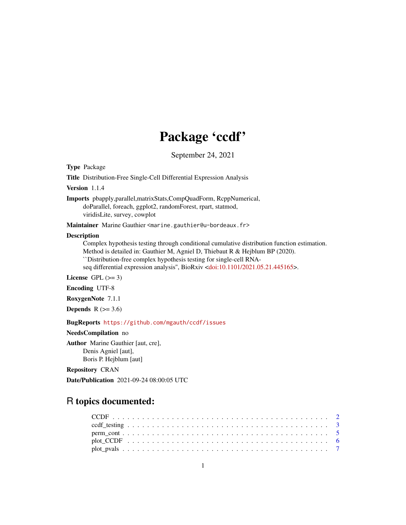# Package 'ccdf'

September 24, 2021

<span id="page-0-0"></span>Type Package

Title Distribution-Free Single-Cell Differential Expression Analysis

Version 1.1.4

Imports pbapply,parallel,matrixStats,CompQuadForm, RcppNumerical, doParallel, foreach, ggplot2, randomForest, rpart, statmod, viridisLite, survey, cowplot

Maintainer Marine Gauthier <marine.gauthier@u-bordeaux.fr>

#### Description

Complex hypothesis testing through conditional cumulative distribution function estimation. Method is detailed in: Gauthier M, Agniel D, Thiebaut R & Hejblum BP (2020). ``Distribution-free complex hypothesis testing for single-cell RNA-seq differential expression analysis", BioRxiv [<doi:10.1101/2021.05.21.445165>](https://doi.org/10.1101/2021.05.21.445165).

License GPL  $(>= 3)$ 

Encoding UTF-8

RoxygenNote 7.1.1

Depends  $R$  ( $>= 3.6$ )

BugReports <https://github.com/mgauth/ccdf/issues>

NeedsCompilation no

Author Marine Gauthier [aut, cre], Denis Agniel [aut], Boris P. Hejblum [aut]

Repository CRAN

Date/Publication 2021-09-24 08:00:05 UTC

# R topics documented:

| plot CCDF $\ldots \ldots \ldots \ldots \ldots \ldots \ldots \ldots \ldots \ldots \ldots \ldots \ldots$ |  |  |  |  |  |  |  |  |  |  |  |  |  |  |  |  |  |  |  |  |
|--------------------------------------------------------------------------------------------------------|--|--|--|--|--|--|--|--|--|--|--|--|--|--|--|--|--|--|--|--|
|                                                                                                        |  |  |  |  |  |  |  |  |  |  |  |  |  |  |  |  |  |  |  |  |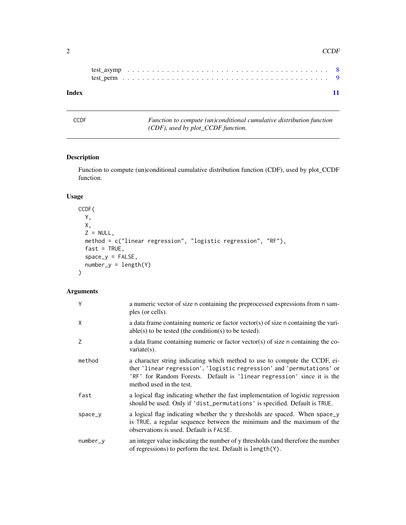<span id="page-1-0"></span>

| Index |  |  |  |  |  |  |  |  |  |  |  |  |  |  |  |  |  |  |  |  |  |
|-------|--|--|--|--|--|--|--|--|--|--|--|--|--|--|--|--|--|--|--|--|--|

CCDF *Function to compute (un)conditional cumulative distribution function (CDF), used by plot\_CCDF function.*

#### Description

Function to compute (un)conditional cumulative distribution function (CDF), used by plot\_CCDF function.

#### Usage

```
CCDF(
 Y,
 X,
 Z = NULL,method = c("linear regression", "logistic regression", "RF"),
 fast = TRUE,space_y = FALSE,number_y = length(Y))
```

| Y          | a numeric vector of size n containing the preprocessed expressions from n sam-<br>ples (or cells).                                                                                                                                                         |
|------------|------------------------------------------------------------------------------------------------------------------------------------------------------------------------------------------------------------------------------------------------------------|
| X          | a data frame containing numeric or factor vector(s) of size n containing the vari-<br>$able(s)$ to be tested (the condition(s) to be tested).                                                                                                              |
| Z          | a data frame containing numeric or factor vector(s) of size n containing the co-<br>$variate(s)$ .                                                                                                                                                         |
| method     | a character string indicating which method to use to compute the CCDF, ei-<br>ther 'linear regression', 'logistic regression' and 'permutations' or<br>'RF' for Random Forests. Default is 'linear regression' since it is the<br>method used in the test. |
| fast       | a logical flag indicating whether the fast implementation of logistic regression<br>should be used. Only if 'dist_permutations' is specified. Default is TRUE.                                                                                             |
| space_y    | a logical flag indicating whether the y thresholds are spaced. When space_y<br>is TRUE, a regular sequence between the minimum and the maximum of the<br>observations is used. Default is FALSE.                                                           |
| $number_v$ | an integer value indicating the number of y thresholds (and therefore the number<br>of regressions) to perform the test. Default is length(Y).                                                                                                             |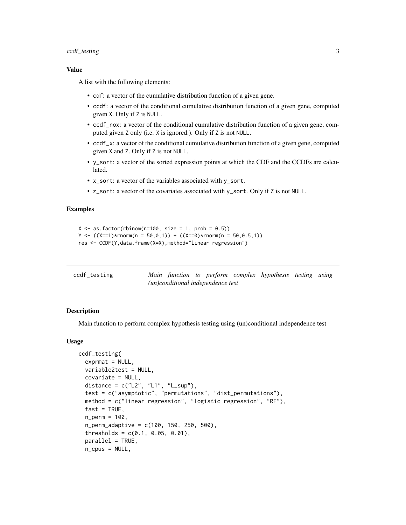#### <span id="page-2-0"></span>ccdf\_testing 3

#### Value

A list with the following elements:

- cdf: a vector of the cumulative distribution function of a given gene.
- ccdf: a vector of the conditional cumulative distribution function of a given gene, computed given X. Only if Z is NULL.
- ccdf\_nox: a vector of the conditional cumulative distribution function of a given gene, computed given Z only (i.e. X is ignored.). Only if Z is not NULL.
- ccdf\_x: a vector of the conditional cumulative distribution function of a given gene, computed given X and Z. Only if Z is not NULL.
- y\_sort: a vector of the sorted expression points at which the CDF and the CCDFs are calculated.
- x\_sort: a vector of the variables associated with y\_sort.
- z\_sort: a vector of the covariates associated with y\_sort. Only if Z is not NULL.

#### Examples

```
X \leq -a s. factor(rbinom(n=100, size = 1, prob = 0.5))
Y \leftarrow ((X==1)*rnorm(n = 50, 0, 1)) + ((X==0)*rnorm(n = 50, 0.5, 1))res <- CCDF(Y,data.frame(X=X),method="linear regression")
```

| ccdf_testing |  |                                            | Main function to perform complex hypothesis testing using |  |
|--------------|--|--------------------------------------------|-----------------------------------------------------------|--|
|              |  | ( <i>un</i> )conditional independence test |                                                           |  |

#### Description

Main function to perform complex hypothesis testing using (un)conditional independence test

#### Usage

```
ccdf_testing(
  exprmat = NULL,variable2test = NULL,
  covariate = NULL,
  distance = c("L2", "L1", "L_sum"),test = c("asymptotic", "permutations", "dist_permutations"),
  method = c("linear regression", "logistic regression", "RF"),
  fast = TRUE,
  n_{perm} = 100,
  n_perm_adaptive = c(100, 150, 250, 500),
  thresholds = c(0.1, 0.05, 0.01),
  parallel = TRUE,
  n_cpus = NULL,
```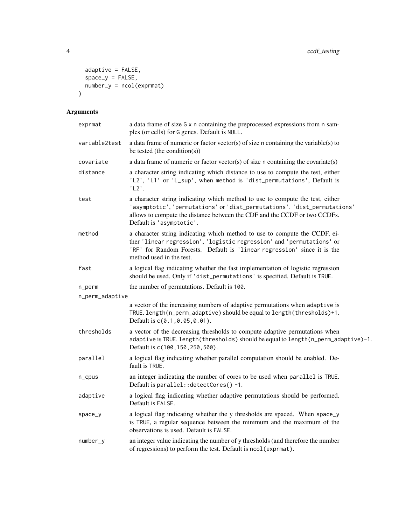```
adaptive = FALSE,
 space_y = FALSE,
 number_y = ncol(expmat)\lambda
```

| exprmat         | a data frame of size G x n containing the preprocessed expressions from n sam-<br>ples (or cells) for G genes. Default is NULL.                                                                                                                                    |
|-----------------|--------------------------------------------------------------------------------------------------------------------------------------------------------------------------------------------------------------------------------------------------------------------|
| variable2test   | a data frame of numeric or factor vector(s) of size n containing the variable(s) to<br>be tested (the condition(s))                                                                                                                                                |
| covariate       | a data frame of numeric or factor vector(s) of size n containing the covariate(s)                                                                                                                                                                                  |
| distance        | a character string indicating which distance to use to compute the test, either<br>'L2', 'L1' or 'L_sup', when method is 'dist_permutations', Default is<br>'L2'.                                                                                                  |
| test            | a character string indicating which method to use to compute the test, either<br>'asymptotic', 'permutations' or 'dist_permutations'. 'dist_permutations'<br>allows to compute the distance between the CDF and the CCDF or two CCDFs.<br>Default is 'asymptotic'. |
| method          | a character string indicating which method to use to compute the CCDF, ei-<br>ther 'linear regression', 'logistic regression' and 'permutations' or<br>'RF' for Random Forests. Default is 'linear regression' since it is the<br>method used in the test.         |
| fast            | a logical flag indicating whether the fast implementation of logistic regression<br>should be used. Only if 'dist_permutations' is specified. Default is TRUE.                                                                                                     |
| n_perm          | the number of permutations. Default is 100.                                                                                                                                                                                                                        |
| n_perm_adaptive |                                                                                                                                                                                                                                                                    |
|                 | a vector of the increasing numbers of adaptive permutations when adaptive is<br>TRUE. length(n_perm_adaptive) should be equal to length(thresholds)+1.<br>Default is c(0.1,0.05,0.01).                                                                             |
| thresholds      | a vector of the decreasing thresholds to compute adaptive permutations when<br>adaptive is TRUE. length (thresholds) should be equal to length (n_perm_adaptive)-1.<br>Default is c(100, 150, 250, 500).                                                           |
| parallel        | a logical flag indicating whether parallel computation should be enabled. De-<br>fault is TRUE.                                                                                                                                                                    |
| n_cpus          | an integer indicating the number of cores to be used when parallel is TRUE.<br>Default is parallel:: detectCores()-1.                                                                                                                                              |
| adaptive        | a logical flag indicating whether adaptive permutations should be performed.<br>Default is FALSE.                                                                                                                                                                  |
| space_y         | a logical flag indicating whether the y thresholds are spaced. When space_y<br>is TRUE, a regular sequence between the minimum and the maximum of the<br>observations is used. Default is FALSE.                                                                   |
| number_y        | an integer value indicating the number of y thresholds (and therefore the number<br>of regressions) to perform the test. Default is ncol (exprmat).                                                                                                                |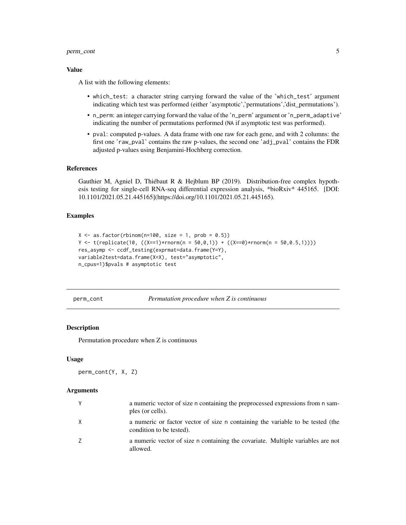#### <span id="page-4-0"></span>perm\_cont 5

#### Value

A list with the following elements:

- which\_test: a character string carrying forward the value of the 'which\_test' argument indicating which test was performed (either 'asymptotic','permutations','dist\_permutations').
- n\_perm: an integer carrying forward the value of the 'n\_perm' argument or 'n\_perm\_adaptive' indicating the number of permutations performed (NA if asymptotic test was performed).
- pval: computed p-values. A data frame with one raw for each gene, and with 2 columns: the first one 'raw\_pval' contains the raw p-values, the second one 'adj\_pval' contains the FDR adjusted p-values using Benjamini-Hochberg correction.

#### References

Gauthier M, Agniel D, Thiébaut R & Hejblum BP (2019). Distribution-free complex hypothesis testing for single-cell RNA-seq differential expression analysis, \*bioRxiv\* 445165. [DOI: 10.1101/2021.05.21.445165](https://doi.org/10.1101/2021.05.21.445165).

#### Examples

```
X \leq -a s. factor(rbinom(n=100, size = 1, prob = 0.5))
Y <- t(replicate(10, ((X==1)*rnorm(n = 50, 0, 1)) + ((X==0)*rnorm(n = 50, 0.5, 1))))res_asymp <- ccdf_testing(exprmat=data.frame(Y=Y),
variable2test=data.frame(X=X), test="asymptotic",
n_cpus=1)$pvals # asymptotic test
```
perm\_cont *Permutation procedure when Z is continuous*

#### Description

Permutation procedure when Z is continuous

#### Usage

perm\_cont(Y, X, Z)

| Y  | a numeric vector of size n containing the preprocessed expressions from n sam-<br>ples (or cells).         |
|----|------------------------------------------------------------------------------------------------------------|
| X  | a numeric or factor vector of size n containing the variable to be tested (the<br>condition to be tested). |
| Z. | a numeric vector of size n containing the covariate. Multiple variables are not<br>allowed.                |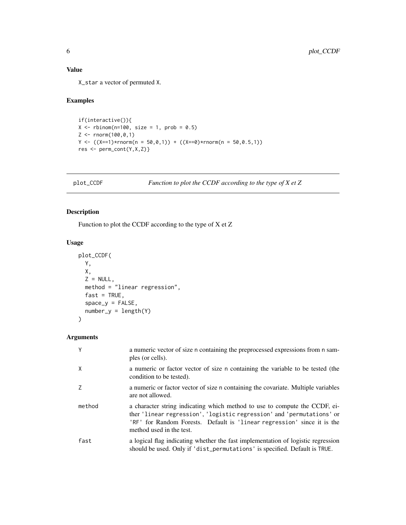#### <span id="page-5-0"></span>Value

X\_star a vector of permuted X.

#### Examples

```
if(interactive()){
X \leq - rbinom(n=100, size = 1, prob = 0.5)
Z <- rnorm(100,0,1)
Y \leftarrow ((X==1)*rnorm(n = 50, 0, 1)) + ((X==0)*rnorm(n = 50, 0.5, 1))res <- perm_cont(Y,X,Z)}
```
plot\_CCDF *Function to plot the CCDF according to the type of X et Z*

#### Description

Function to plot the CCDF according to the type of X et Z

#### Usage

```
plot_CCDF(
 Y,
 X,
 Z = NULL,method = "linear regression",
 fast = TRUE,space_y = FALSE,number_y = length(Y))
```

| Y      | a numeric vector of size n containing the preprocessed expressions from n sam-<br>ples (or cells).                                                                                                                                                         |
|--------|------------------------------------------------------------------------------------------------------------------------------------------------------------------------------------------------------------------------------------------------------------|
| X      | a numeric or factor vector of size n containing the variable to be tested (the<br>condition to be tested).                                                                                                                                                 |
|        | a numeric or factor vector of size n containing the covariate. Multiple variables<br>are not allowed.                                                                                                                                                      |
| method | a character string indicating which method to use to compute the CCDF, ei-<br>ther 'linear regression', 'logistic regression' and 'permutations' or<br>'RF' for Random Forests. Default is 'linear regression' since it is the<br>method used in the test. |
| fast   | a logical flag indicating whether the fast implementation of logistic regression<br>should be used. Only if 'dist_permutations' is specified. Default is TRUE.                                                                                             |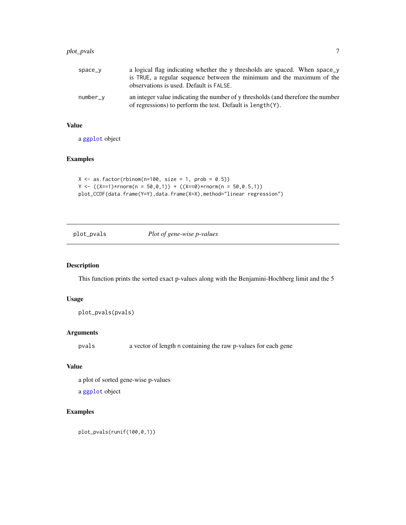#### <span id="page-6-0"></span>plot\_pvals 7

#### Value

a [ggplot](#page-0-0) object

#### Examples

```
X \leq -as.factor(rbinom(n=100, size = 1, prob = 0.5))
Y \leftarrow ((X==1)*rnorm(n = 50, 0, 1)) + ((X==0)*rnorm(n = 50, 0.5, 1))plot_CCDF(data.frame(Y=Y),data.frame(X=X),method="linear regression")
```
plot\_pvals *Plot of gene-wise p-values*

#### Description

This function prints the sorted exact p-values along with the Benjamini-Hochberg limit and the 5

#### Usage

plot\_pvals(pvals)

#### Arguments

pvals a vector of length n containing the raw p-values for each gene

#### Value

a plot of sorted gene-wise p-values

a [ggplot](#page-0-0) object

#### Examples

plot\_pvals(runif(100,0,1))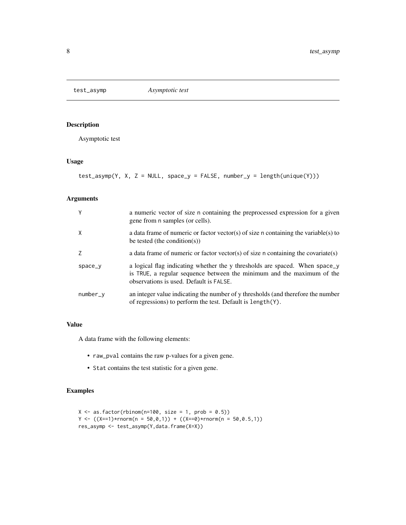<span id="page-7-0"></span>

#### Description

Asymptotic test

#### Usage

test\_asymp(Y, X, Z = NULL, space\_y = FALSE, number\_y = length(unique(Y)))

#### Arguments

| Y            | a numeric vector of size n containing the preprocessed expression for a given<br>gene from n samples (or cells).                                                                                 |
|--------------|--------------------------------------------------------------------------------------------------------------------------------------------------------------------------------------------------|
| $\mathsf{X}$ | a data frame of numeric or factor vector(s) of size n containing the variable(s) to<br>be tested (the condition(s))                                                                              |
| 7            | a data frame of numeric or factor vector(s) of size n containing the covariate(s)                                                                                                                |
| space_y      | a logical flag indicating whether the y thresholds are spaced. When space_y<br>is TRUE, a regular sequence between the minimum and the maximum of the<br>observations is used. Default is FALSE. |
| number_y     | an integer value indicating the number of y thresholds (and therefore the number<br>of regressions) to perform the test. Default is length(Y).                                                   |

#### Value

A data frame with the following elements:

- raw\_pval contains the raw p-values for a given gene.
- Stat contains the test statistic for a given gene.

### Examples

```
X \leftarrow as.factor(rbinom=100, size = 1, prob = 0.5)Y \leftarrow ((X==1)*rnorm(n = 50, 0, 1)) + ((X==0)*rnorm(n = 50, 0.5, 1))res_asymp <- test_asymp(Y,data.frame(X=X))
```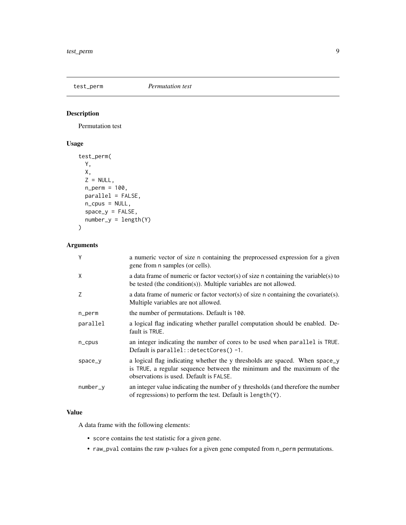#### <span id="page-8-0"></span>test\_perm *Permutation test*

#### Description

Permutation test

#### Usage

```
test_perm(
 Y,
 X,
 Z = NULL,n_perm = 100,
 parallel = FALSE,
 n_cpus = NULL,
 space_y = FALSE,number_y = length(Y))
```
#### Arguments

| Y         | a numeric vector of size n containing the preprocessed expression for a given<br>gene from n samples (or cells).                                                                                 |
|-----------|--------------------------------------------------------------------------------------------------------------------------------------------------------------------------------------------------|
| X         | a data frame of numeric or factor vector(s) of size n containing the variable(s) to<br>be tested (the condition(s)). Multiple variables are not allowed.                                         |
| Z         | a data frame of numeric or factor vector(s) of size n containing the covariate(s).<br>Multiple variables are not allowed.                                                                        |
| n_perm    | the number of permutations. Default is 100.                                                                                                                                                      |
| parallel  | a logical flag indicating whether parallel computation should be enabled. De-<br>fault is TRUE.                                                                                                  |
| $n$ _cpus | an integer indicating the number of cores to be used when parallel is TRUE.<br>Default is parallel:: detectCores()-1.                                                                            |
| space_y   | a logical flag indicating whether the y thresholds are spaced. When space_y<br>is TRUE, a regular sequence between the minimum and the maximum of the<br>observations is used. Default is FALSE. |
| number_y  | an integer value indicating the number of y thresholds (and therefore the number<br>of regressions) to perform the test. Default is length(Y).                                                   |

#### Value

A data frame with the following elements:

- score contains the test statistic for a given gene.
- raw\_pval contains the raw p-values for a given gene computed from n\_perm permutations.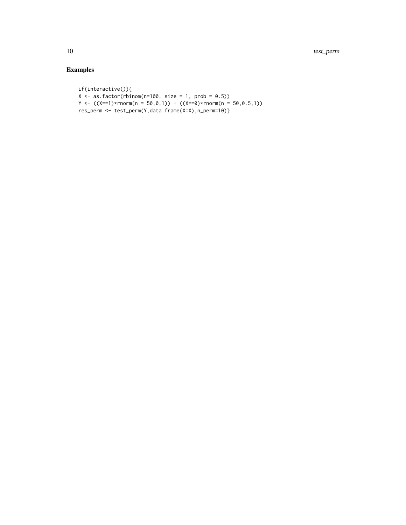## Examples

```
if(interactive()){
X \leq -a s.factor(rbinom{n=100}{s}, size = 1, prob = 0.5))
Y \leftarrow ((X==1)*rnorm(n = 50, 0, 1)) + ((X==0)*rnorm(n = 50, 0.5, 1))res_perm <- test_perm(Y,data.frame(X=X),n_perm=10)}
```